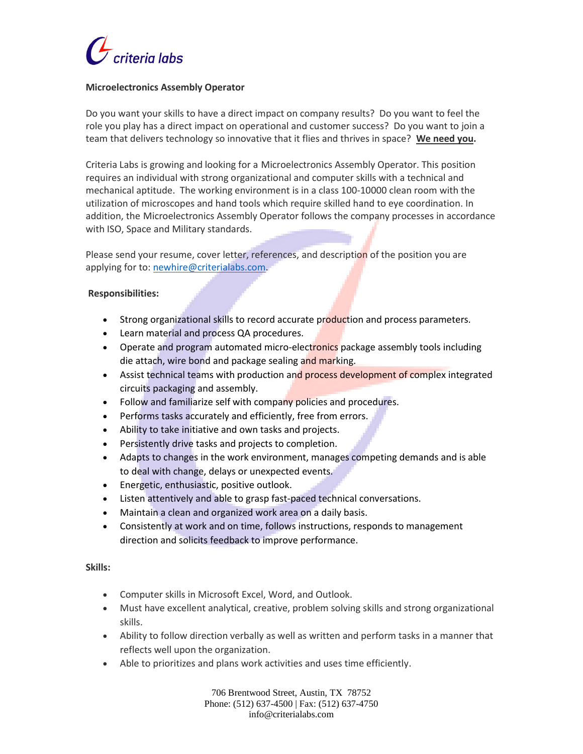

## **Microelectronics Assembly Operator**

Do you want your skills to have a direct impact on company results? Do you want to feel the role you play has a direct impact on operational and customer success? Do you want to join a team that delivers technology so innovative that it flies and thrives in space? **We need you.** 

Criteria Labs is growing and looking for a Microelectronics Assembly Operator. This position requires an individual with strong organizational and computer skills with a technical and mechanical aptitude. The working environment is in a class 100-10000 clean room with the utilization of microscopes and hand tools which require skilled hand to eye coordination. In addition, the Microelectronics Assembly Operator follows the company processes in accordance with ISO, Space and Military standards.

Please send your resume, cover letter, references, and description of the position you are applying for to[: newhire@criterialabs.com.](mailto:newhire@criterialabs.com)

### **Responsibilities:**

- Strong organizational skills to record accurate production and process parameters.
- Learn material and process QA procedures.
- Operate and program automated micro-electronics package assembly tools including die attach, wire bond and package sealing and marking.
- Assist technical teams with production and process development of complex integrated circuits packaging and assembly.
- Follow and familiarize self with company policies and procedures.
- Performs tasks accurately and efficiently, free from errors.
- Ability to take initiative and own tasks and projects.
- Persistently drive tasks and projects to completion.
- Adapts to changes in the work environment, manages competing demands and is able to deal with change, delays or unexpected events.
- Energetic, enthusiastic, positive outlook.
- Listen attentively and able to grasp fast-paced technical conversations.
- Maintain a clean and organized work area on a daily basis.
- Consistently at work and on time, follows instructions, responds to management direction and solicits feedback to improve performance.

#### **Skills:**

- Computer skills in Microsoft Excel, Word, and Outlook.
- Must have excellent analytical, creative, problem solving skills and strong organizational skills.
- Ability to follow direction verbally as well as written and perform tasks in a manner that reflects well upon the organization.
- Able to prioritizes and plans work activities and uses time efficiently.

706 Brentwood Street, Austin, TX 78752 Phone: (512) 637-4500 | Fax: (512) 637-4750 info@criterialabs.com